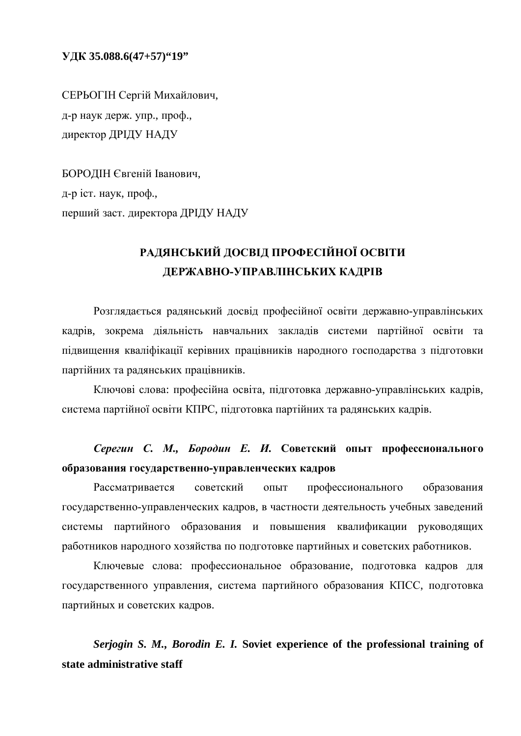**ɍȾɄ 35.088.6(47+57)"19"**

СЕРЬОГІН Сергій Михайлович, д-р наук держ. упр., проф., директор ДРІДУ НАДУ

БОРОДІН Євгеній Іванович, д-р іст. наук, проф., перший заст. директора ДРІДУ НАДУ

## РАДЯНСЬКИЙ ДОСВІД ПРОФЕСІЙНОЇ ОСВІТИ ДЕРЖАВНО-УПРАВЛІНСЬКИХ КАДРІВ

Розглядається радянський досвід професійної освіти державно-управлінських кадрів, зокрема діяльність навчальних закладів системи партійної освіти та підвищення кваліфікації керівних працівників народного господарства з підготовки партійних та радянських працівників.

Ключові слова: професійна освіта, підготовка державно-управлінських кадрів, система партійної освіти КПРС, підготовка партійних та радянських кадрів.

## Серегин С. М., Бородин Е. И. Советский опыт профессионального **образования государственно-управленческих кадров**

Рассматривается советский опыт профессионального образования государственно-управленческих кадров, в частности деятельность учебных заведений системы партийного образования и повышения квалификации руководящих работников народного хозяйства по подготовке партийных и советских работников.

Ключевые слова: профессиональное образование, подготовка кадров для государственного управления, система партийного образования КПСС, подготовка партийных и советских кадров.

*Serjogin S. M., Borodin E. I.* **Soviet experience of the professional training of state administrative staff**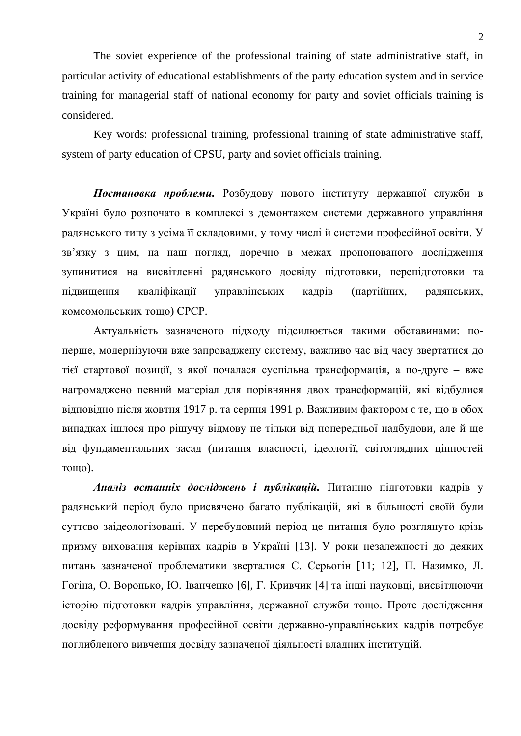The soviet experience of the professional training of state administrative staff, in particular activity of educational establishments of the party education system and in service training for managerial staff of national economy for party and soviet officials training is considered.

Key words: professional training, professional training of state administrative staff, system of party education of CPSU, party and soviet officials training.

Постановка проблеми. Розбудову нового інституту державної служби в Україні було розпочато в комплексі з демонтажем системи державного управління радянського типу з усіма її складовими, у тому числі й системи професійної освіти. У зв'язку з цим, на наш погляд, доречно в межах пропонованого дослідження зупинитися на висвітленні радянського досвіду підготовки, перепідготовки та підвищення кваліфікації управлінських кадрів (партійних, радянських, комсомольських тощо) СРСР.

Актуальність зазначеного підходу підсилюється такими обставинами: поперше, модернізуючи вже запроваджену систему, важливо час від часу звертатися до тієї стартової позиції, з якої почалася суспільна трансформація, а по-друге – вже нагромаджено певний матеріал для порівняння двох трансформацій, які відбулися відповідно після жовтня 1917 р. та серпня 1991 р. Важливим фактором є те, що в обох випадках ішлося про рішучу відмову не тільки від попередньої надбудови, але й ще від фундаментальних засад (питання власності, ідеології, світоглядних цінностей тошо).

Аналіз останніх досліджень і публікацій. Питанню підготовки кадрів у радянський період було присвячено багато публікацій, які в більшості своїй були суттєво заідеологізовані. У перебудовний період це питання було розглянуто крізь призму виховання керівних кадрів в Україні [13]. У роки незалежності до деяких питань зазначеної проблематики зверталися С. Серьогін [11; 12], П. Назимко, Л. Гогіна, О. Воронько, Ю. Іванченко [6], Г. Кривчик [4] та інші науковці, висвітлюючи історію підготовки кадрів управління, державної служби тощо. Проте дослідження досвіду реформування професійної освіти державно-управлінських кадрів потребує поглибленого вивчення досвіду зазначеної діяльності владних інституцій.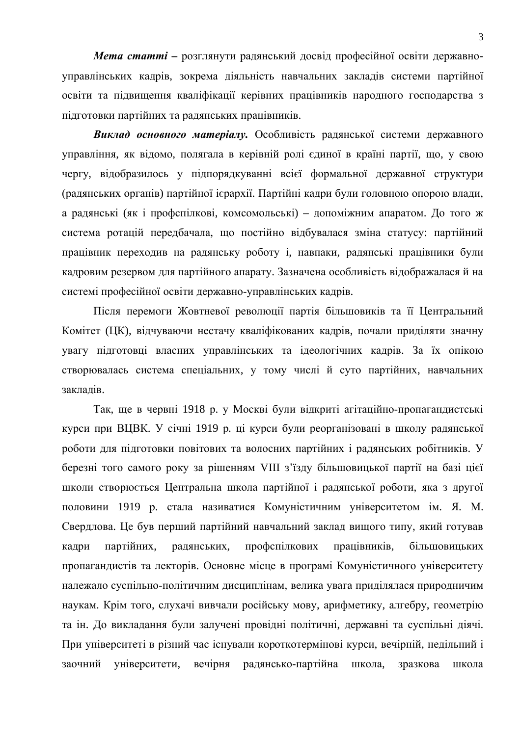*Мета статті* – розглянути радянський досвід професійної освіти державноуправлінських кадрів, зокрема діяльність навчальних закладів системи партійної освіти та підвищення кваліфікації керівних працівників народного господарства з підготовки партійних та радянських працівників.

Виклад основного матеріалу. Особливість радянської системи державного управління, як відомо, полягала в керівній ролі єдиної в країні партії, що, у свою чергу, відобразилось у підпорядкуванні всієї формальної державної структури (радянських органів) партійної ієрархії. Партійні кадри були головною опорою влади, а радянські (як і профспілкові, комсомольські) – допоміжним апаратом. До того ж система ротацій передбачала, що постійно відбувалася зміна статусу: партійний працівник переходив на радянську роботу і, навпаки, радянські працівники були кадровим резервом для партійного апарату. Зазначена особливість відображалася й на системі професійної освіти державно-управлінських кадрів.

Після перемоги Жовтневої революції партія більшовиків та її Центральний Комітет (ЦК), відчуваючи нестачу кваліфікованих кадрів, почали приділяти значну увагу підготовці власних управлінських та ідеологічних кадрів. За їх опікою створювалась система спеціальних, у тому числі й суто партійних, навчальних заклалів.

Так, ще в червні 1918 р. у Москві були відкриті агітаційно-пропагандистські курси при ВЦВК. У січні 1919 р. ці курси були реорганізовані в школу радянської роботи для підготовки повітових та волосних партійних і радянських робітників. У березні того самого року за рішенням VIII з'їзду більшовицької партії на базі цієї школи створюється Центральна школа партійної і радянської роботи, яка з другої половини 1919 р. стала називатися Комуністичним університетом ім. Я. М. Свердлова. Це був перший партійний навчальний заклад вищого типу, який готував кадри партійних, радянських, профспілкових працівників, більшовицьких пропагандистів та лекторів. Основне місце в програмі Комуністичного університету належало суспільно-політичним дисциплінам, велика увага приділялася природничим наукам. Крім того, слухачі вивчали російську мову, арифметику, алгебру, геометрію та ін. До викладання були залучені провідні політичні, державні та суспільні діячі. При університеті в різний час існували короткотермінові курси, вечірній, недільний і заочний університети, вечірня радянсько-партійна школа, зразкова школа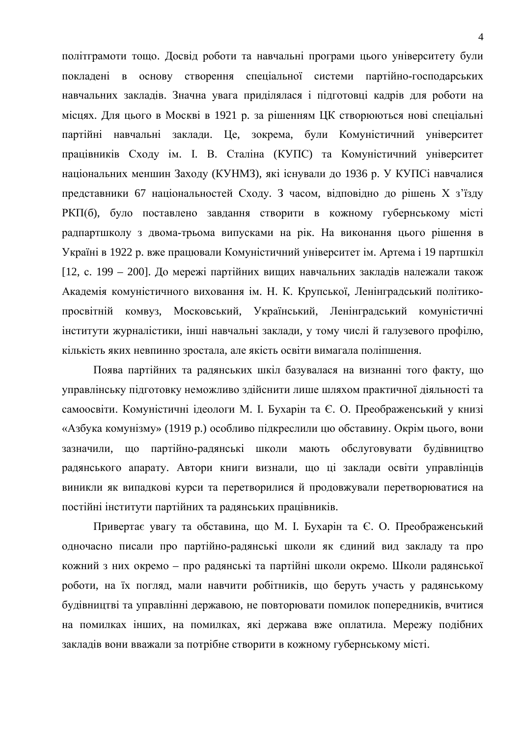політграмоти тощо. Досвід роботи та навчальні програми цього університету були покладені в основу створення спеціальної системи партійно-господарських навчальних закладів. Значна увага приділялася і підготовці кадрів для роботи на місцях. Для цього в Москві в 1921 р. за рішенням ЦК створюються нові спеціальні партійні навчальні заклади. Це, зокрема, були Комуністичний університет працівників Сходу ім. І. В. Сталіна (КУПС) та Комуністичний університет національних меншин Заходу (КУНМЗ), які існували до 1936 р. У КУПСі навчалися представники 67 національностей Сходу. З часом, відповідно до рішень Х з'їзду РКП(б), було поставлено завдання створити в кожному губернському місті радпартшколу з двома-трьома випусками на рік. На виконання цього рішення в Україні в 1922 р. вже працювали Комуністичний університет ім. Артема і 19 партшкіл [12, с. 199 – 200]. До мережі партійних вищих навчальних закладів належали також Академія комуністичного виховання ім. Н. К. Крупської, Ленінградський політикопросвітній комвуз, Московський, Український, Ленінградський комуністичні інститути журналістики, інші навчальні заклади, у тому числі й галузевого профілю, кількість яких невпинно зростала, але якість освіти вимагала поліпшення.

Поява партійних та радянських шкіл базувалася на визнанні того факту, що управлінську підготовку неможливо здійснити лише шляхом практичної діяльності та самоосвіти. Комуністичні ідеологи М. І. Бухарін та Є. О. Преображенський у книзі «Азбука комунізму» (1919 р.) особливо підкреслили цю обставину. Окрім цього, вони зазначили, що партійно-радянські школи мають обслуговувати будівництво радянського апарату. Автори книги визнали, що ці заклади освіти управлінців виникли як випадкові курси та перетворилися й продовжували перетворюватися на постійні інститути партійних та радянських працівників.

Привертає увагу та обставина, що М. І. Бухарін та Є. О. Преображенський одночасно писали про партійно-радянські школи як єдиний вид закладу та про кожний з них окремо – про радянські та партійні школи окремо. Школи радянської роботи, на їх погляд, мали навчити робітників, що беруть участь у радянському будівництві та управлінні державою, не повторювати помилок попередників, вчитися на помилках інших, на помилках, які держава вже оплатила. Мережу подібних закладів вони вважали за потрібне створити в кожному губернському місті.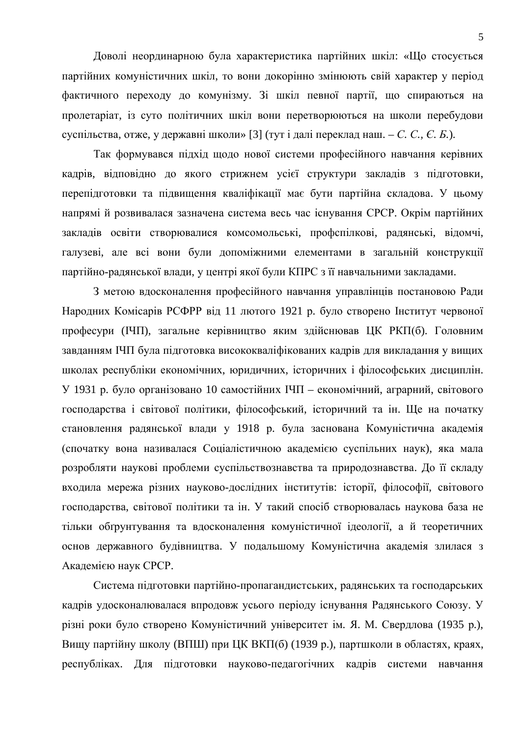Доволі неординарною була характеристика партійних шкіл: «Що стосується партійних комуністичних шкіл, то вони докорінно змінюють свій характер у період фактичного переходу до комунізму. Зі шкіл певної партії, що спираються на пролетаріат, із суто політичних шкіл вони перетворюються на школи перебудови суспільства, отже, у державні школи» [3] (тут і далі переклад наш. – *С. С., Є. Б.*).

Так формувався підхід щодо нової системи професійного навчання керівних кадрів, відповідно до якого стрижнем усієї структури закладів з підготовки, перепідготовки та підвищення кваліфікації має бути партійна складова. У цьому напрямі й розвивалася зазначена система весь час існування СРСР. Окрім партійних закладів освіти створювалися комсомольські, профспілкові, радянські, відомчі, галузеві, але всі вони були допоміжними елементами в загальній конструкції партійно-радянської влади, у центрі якої були КПРС з її навчальними закладами.

З метою вдосконалення професійного навчання управлінців постановою Ради Народних Комісарів РСФРР від 11 лютого 1921 р. було створено Інститут червоної професури (ІЧП), загальне керівництво яким здійснював ЦК РКП(б). Головним завданням ІЧП була підготовка висококваліфікованих кадрів для викладання у вищих школах республіки економічних, юридичних, історичних і філософських дисциплін. У 1931 р. було організовано 10 самостійних IЧП – економічний, аграрний, світового господарства і світової політики, філософський, історичний та ін. Ще на початку становлення радянської влади у 1918 р. була заснована Комуністична академія (спочатку вона називалася Соціалістичною академією суспільних наук), яка мала розробляти наукові проблеми суспільствознавства та природознавства. До її складу входила мережа різних науково-дослідних інститутів: історії, філософії, світового господарства, світової політики та ін. У такий спосіб створювалась наукова база не тільки обґрунтування та вдосконалення комуністичної ідеології, а й теоретичних основ державного будівництва. У подальшому Комуністична академія злилася з Академією наук СРСР.

Система підготовки партійно-пропагандистських, радянських та господарських кадрів удосконалювалася впродовж усього періоду існування Радянського Союзу. У різні роки було створено Комуністичний університет ім. Я. М. Свердлова (1935 р.), Вищу партійну школу (ВПШ) при ЦК ВКП(б) (1939 р.), партшколи в областях, краях, республіках. Для підготовки науково-педагогічних кадрів системи навчання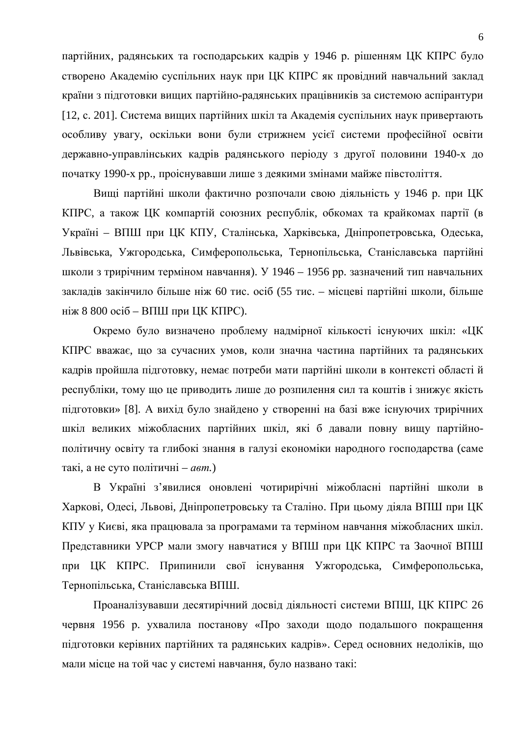партійних, радянських та господарських кадрів у 1946 р. рішенням ЦК КПРС було створено Академію суспільних наук при ЦК КПРС як провідний навчальний заклад країни з підготовки вищих партійно-радянських працівників за системою аспірантури [12, с. 201]. Система вищих партійних шкіл та Академія суспільних наук привертають особливу увагу, оскільки вони були стрижнем усієї системи професійної освіти державно-управлінських кадрів радянського періоду з другої половини 1940-х до початку 1990-х рр., проіснувавши лише з деякими змінами майже півстоліття.

Вищі партійні школи фактично розпочали свою діяльність у 1946 р. при ЦК КПРС, а також ЦК компартій союзних республік, обкомах та крайкомах партії (в Україні – ВПШ при ЦК КПУ, Сталінська, Харківська, Дніпропетровська, Одеська, Львівська, Ужгородська, Симферопольська, Тернопільська, Станіславська партійні школи з трирічним терміном навчання). У 1946 – 1956 рр. зазначений тип навчальних закладів закінчило більше ніж 60 тис. осіб (55 тис. – місцеві партійні школи, більше ніж 8 800 осіб – ВПШ при ЦК КПРС).

Окремо було визначено проблему надмірної кількості існуючих шкіл: «ЦК КПРС вважає, що за сучасних умов, коли значна частина партійних та радянських кадрів пройшла підготовку, немає потреби мати партійні школи в контексті області й республіки, тому що це приводить лише до розпилення сил та коштів і знижує якість підготовки» [8]. А вихід було знайдено у створенні на базі вже існуючих трирічних шкіл великих міжобласних партійних шкіл, які б давали повну вищу партійнополітичну освіту та глибокі знання в галузі економіки народного господарства (саме такі, а не суто політичні – *авт*.)

В Україні з'явилися оновлені чотирирічні міжобласні партійні школи в Харкові, Одесі, Львові, Дніпропетровську та Сталіно. При цьому діяла ВПШ при ЦК КПУ у Києві, яка працювала за програмами та терміном навчання міжобласних шкіл. Представники УРСР мали змогу навчатися у ВПШ при ЦК КПРС та Заочної ВПШ при ЦК КПРС. Припинили свої існування Ужгородська, Симферопольська, Тернопільська, Станіславська ВПШ.

Проаналізувавши десятирічний досвід діяльності системи ВПШ, ЦК КПРС 26 червня 1956 р. ухвалила постанову «Про заходи щодо подальшого покращення підготовки керівних партійних та радянських кадрів». Серед основних недоліків, що мали місце на той час у системі навчання, було названо такі: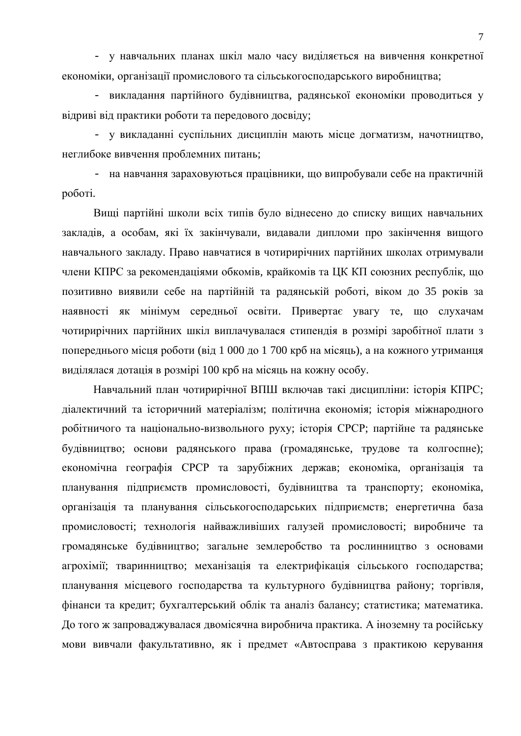- у навчальних планах шкіл мало часу виділяється на вивчення конкретної економіки, організації промислового та сільськогосподарського виробництва;

- викладання партійного будівництва, радянської економіки проводиться у відриві від практики роботи та передового досвіду;

- у викладанні суспільних дисциплін мають місце догматизм, начотництво, неглибоке вивчення проблемних питань;

- на навчання зараховуються працівники, що випробували себе на практичній роботі.

Вищі партійні школи всіх типів було віднесено до списку вищих навчальних закладів, а особам, які їх закінчували, видавали дипломи про закінчення вищого навчального закладу. Право навчатися в чотирирічних партійних школах отримували члени КПРС за рекомендаціями обкомів, крайкомів та ЦК КП союзних республік, що позитивно виявили себе на партійній та радянській роботі, віком до 35 років за наявності як мінімум середньої освіти. Привертає увагу те, що слухачам чотирирічних партійних шкіл виплачувалася стипендія в розмірі заробітної плати з попереднього місця роботи (від 1 000 до 1 700 крб на місяць), а на кожного утриманця виділялася дотація в розмірі 100 крб на місяць на кожну особу.

Навчальний план чотирирічної ВПШ включав такі дисципліни: історія КПРС; діалектичний та історичний матеріалізм; політична економія; історія міжнародного робітничого та національно-визвольного руху; історія СРСР; партійне та радянське будівництво; основи радянського права (громадянське, трудове та колгоспне); економічна географія СРСР та зарубіжних держав; економіка, організація та планування підприємств промисловості, будівництва та транспорту; економіка, організація та планування сільськогосподарських підприємств; енергетична база промисловості; технологія найважливіших галузей промисловості; виробниче та громадянське будівництво; загальне землеробство та рослинництво з основами агрохімії; тваринництво; механізація та електрифікація сільського господарства; планування місцевого господарства та культурного будівництва району; торгівля, фінанси та кредит; бухгалтерський облік та аналіз балансу; статистика; математика. До того ж запроваджувалася двомісячна виробнича практика. А іноземну та російську мови вивчали факультативно, як і предмет «Автосправа з практикою керування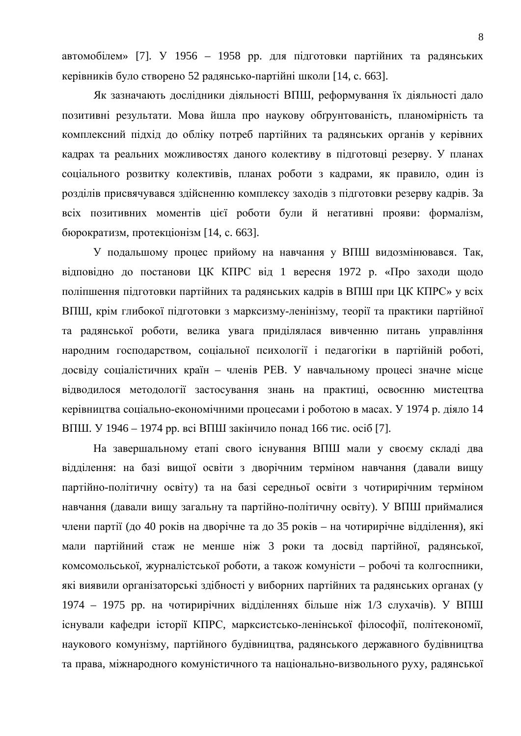автомобілем» [7]. У 1956 – 1958 рр. для підготовки партійних та радянських керівників було створено 52 радянсько-партійні школи [14, с. 663].

Як зазначають дослідники діяльності ВПШ, реформування їх діяльності дало позитивні результати. Мова йшла про наукову обґрунтованість, планомірність та комплексний підхід до обліку потреб партійних та радянських органів у керівних кадрах та реальних можливостях даного колективу в підготовці резерву. У планах соціального розвитку колективів, планах роботи з кадрами, як правило, один із розділів присвячувався здійсненню комплексу заходів з підготовки резерву кадрів. За всіх позитивних моментів цієї роботи були й негативні прояви: формалізм, бюрократизм, протекціонізм [14, с. 663].

У подальшому процес прийому на навчання у ВПШ видозмінювався. Так, відповідно до постанови ЦК КПРС від 1 вересня 1972 р. «Про заходи щодо поліпшення підготовки партійних та радянських кадрів в ВПШ при ЦК КПРС» у всіх ВПШ, крім глибокої підготовки з марксизму-ленінізму, теорії та практики партійної та радянської роботи, велика увага приділялася вивченню питань управління народним господарством, соціальної психології і педагогіки в партійній роботі, досвіду соціалістичних країн – членів РЕВ. У навчальному процесі значне місце відводилося методології застосування знань на практиці, освоєнню мистецтва керівництва соціально-економічними процесами і роботою в масах. У 1974 р. діяло 14 ВПШ. У 1946 – 1974 рр. всі ВПШ закінчило понад 166 тис. осіб [7].

На завершальному етапі свого існування ВПШ мали у своєму складі два відділення: на базі вищої освіти з дворічним терміном навчання (давали вищу партійно-політичну освіту) та на базі середньої освіти з чотирирічним терміном навчання (давали вищу загальну та партійно-політичну освіту). У ВПШ приймалися члени партії (до 40 років на дворічне та до 35 років – на чотирирічне відділення), які мали партійний стаж не менше ніж 3 роки та досвід партійної, радянської, комсомольської, журналістської роботи, а також комуністи – робочі та колгоспники, які виявили організаторські здібності у виборних партійних та радянських органах (у 1974 – 1975 рр. на чотирирічних відділеннях більше ніж 1/3 слухачів). У ВПШ існували кафедри історії КПРС, марксистсько-ленінської філософії, політекономії, наукового комунізму, партійного будівництва, радянського державного будівництва та права, міжнародного комуністичного та національно-визвольного руху, радянської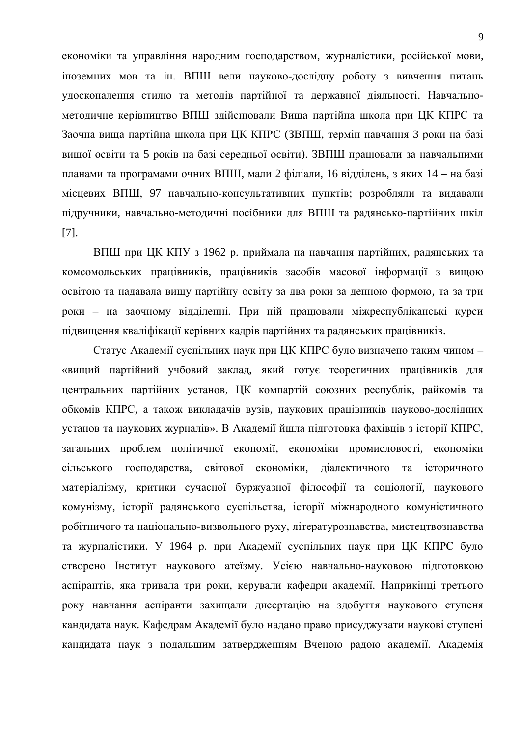економіки та управління народним господарством, журналістики, російської мови, іноземних мов та ін. ВПШ вели науково-дослідну роботу з вивчення питань удосконалення стилю та методів партійної та державної діяльності. Навчальнометодичне керівництво ВПШ здійснювали Вища партійна школа при ЦК КПРС та Заочна вища партійна школа при ЦК КПРС (ЗВПШ, термін навчання 3 роки на базі вищої освіти та 5 років на базі середньої освіти). ЗВПШ працювали за навчальними планами та програмами очних ВПШ, мали 2 філіали, 16 відділень, з яких 14 – на базі місцевих ВПШ, 97 навчально-консультативних пунктів; розробляли та видавали підручники, навчально-методичні посібники для ВПШ та радянсько-партійних шкіл [7].

ВПШ при ЦК КПУ з 1962 р. приймала на навчання партійних, радянських та комсомольських працівників, працівників засобів масової інформації з вищою освітою та надавала вищу партійну освіту за два роки за денною формою, та за три роки – на заочному відділенні. При ній працювали міжреспубліканські курси підвищення кваліфікації керівних кадрів партійних та радянських працівників.

Статус Академії суспільних наук при ЦК КПРС було визначено таким чином – «вищий партійний учбовий заклад, який готує теоретичних працівників для центральних партійних установ, ЦК компартій союзних республік, райкомів та обкомів КПРС, а також викладачів вузів, наукових працівників науково-дослідних установ та наукових журналів». В Академії йшла підготовка фахівців з історії КПРС, загальних проблем політичної економії, економіки промисловості, економіки сільського господарства, світової економіки, діалектичного та історичного матеріалізму, критики сучасної буржуазної філософії та соціології, наукового комунізму, історії радянського суспільства, історії міжнародного комуністичного робітничого та національно-визвольного руху, літературознавства, мистецтвознавства та журналістики. У 1964 р. при Академії суспільних наук при ЦК КПРС було створено Інститут наукового атеїзму. Усією навчально-науковою підготовкою аспірантів, яка тривала три роки, керували кафедри академії. Наприкінці третього року навчання аспіранти захищали дисертацію на здобуття наукового ступеня кандидата наук. Кафедрам Академії було надано право присуджувати наукові ступені кандидата наук з подальшим затвердженням Вченою радою академії. Академія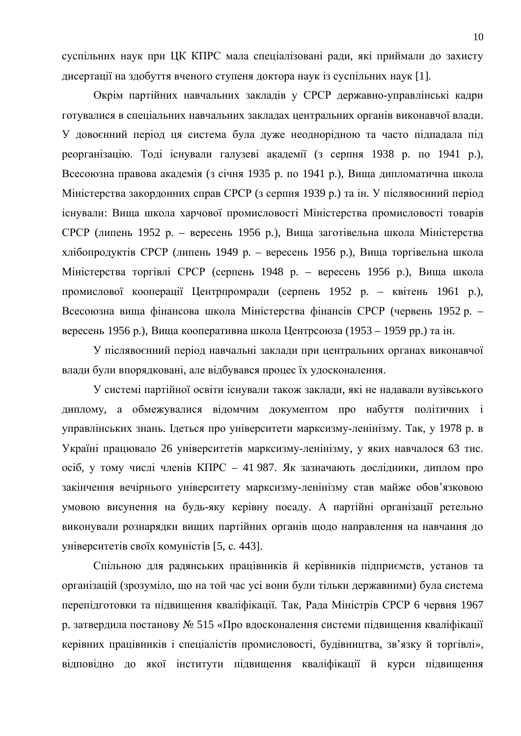суспільних наук при ЦК КПРС мала спеціалізовані ради, які приймали до захисту дисертації на здобуття вченого ступеня доктора наук із суспільних наук [1].

Окрім партійних навчальних закладів у СРСР державно-управлінські кадри готувалися в спеціальних навчальних закладах центральних органів виконавчої влади. У довоєнний період ця система була дуже неоднорідною та часто підпадала під реорганізацію. Тоді існували галузеві академії (з серпня 1938 р. по 1941 р.), Всесоюзна правова академія (з січня 1935 р. по 1941 р.), Вища дипломатична школа Міністерства закордонних справ СРСР (з серпня 1939 р.) та ін. У післявоєнний період існували: Вища школа харчової промисловості Міністерства промисловості товарів СРСР (липень 1952 р. – вересень 1956 р.), Вища заготівельна школа Міністерства хлібопродуктів СРСР (липень 1949 р. – вересень 1956 р.), Вища торгівельна школа Міністерства торгівлі СРСР (серпень 1948 р. – вересень 1956 р.), Вища школа промислової кооперації Центрпромради (серпень 1952 р. – квітень 1961 р.), Всесоюзна вища фінансова школа Міністерства фінансів СРСР (червень 1952 р. – вересень 1956 р.), Вища кооперативна школа Центрсоюза (1953 – 1959 рр.) та ін.

У післявоєнний період навчальні заклади при центральних органах виконавчої влади були впорядковані, але відбувався процес їх удосконалення.

У системі партійної освіти існували також заклади, які не надавали вузівського диплому, а обмежувалися відомчим документом про набуття політичних і управлінських знань. Ідеться про університети марксизму-ленінізму. Так, у 1978 р. в Україні працювало 26 університетів марксизму-ленінізму, у яких навчалося 63 тис. осіб, у тому числі членів КПРС – 41 987. Як зазначають дослідники, диплом про закінчення вечірнього університету марксизму-ленінізму став майже обов'язковою умовою висунення на будь-яку керівну посаду. А партійні організації ретельно виконували рознарядки вищих партійних органів щодо направлення на навчання до університетів своїх комуністів [5, с. 443].

Спільною для радянських працівників й керівників підприємств, установ та організацій (зрозуміло, що на той час усі вони були тільки державними) була система перепідготовки та підвищення кваліфікації. Так, Рада Міністрів СРСР 6 червня 1967 р. затвердила постанову № 515 «Про вдосконалення системи підвищення кваліфікації керівних працівників і спеціалістів промисловості, будівництва, зв'язку й торгівлі», відповідно до якої інститути підвищення кваліфікації й курси підвищення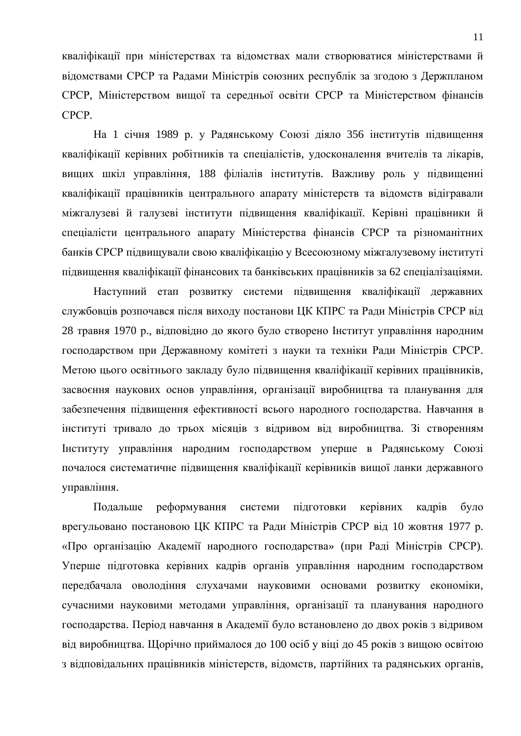кваліфікації при міністерствах та відомствах мали створюватися міністерствами й відомствами СРСР та Радами Міністрів союзних республік за згодою з Держпланом СРСР, Міністерством вищої та середньої освіти СРСР та Міністерством фінансів CPCP.

На 1 січня 1989 р. у Радянському Союзі діяло 356 інститутів підвищення кваліфікації керівних робітників та спеціалістів, удосконалення вчителів та лікарів, вищих шкіл управління, 188 філіалів інститутів. Важливу роль у підвищенні кваліфікації працівників центрального апарату міністерств та відомств відігравали міжгалузеві й галузеві інститути підвищення кваліфікації. Керівні працівники й спеціалісти центрального апарату Міністерства фінансів СРСР та різноманітних банків СРСР підвищували свою кваліфікацію у Всесоюзному міжгалузевому інституті підвищення кваліфікації фінансових та банківських працівників за 62 спеціалізаціями.

Наступний етап розвитку системи підвищення кваліфікації державних службовців розпочався після виходу постанови ЦК КПРС та Ради Міністрів СРСР від 28 травня 1970 p., відповідно до якого було створено Інститут управління народним господарством при Державному комітеті з науки та техніки Ради Міністрів СРСР. Метою цього освітнього закладу було підвищення кваліфікації керівних працівників, засвоєння наукових основ управління, організації виробництва та планування для забезпечення підвищення ефективності всього народного господарства. Навчання в інституті тривало до трьох місяців з відривом від виробництва. Зі створенням Институту управління народним господарством уперше в Радянському Союзі почалося систематичне підвищення кваліфікації керівників вищої ланки державного управління.

Подальше реформування системи підготовки керівних кадрів було врегульовано постановою ЦК КПРС та Ради Міністрів СРСР від 10 жовтня 1977 р. «Про організацію Академії народного господарства» (при Раді Міністрів СРСР). Уперше підготовка керівних кадрів органів управління народним господарством передбачала оволодіння слухачами науковими основами розвитку економіки, сучасними науковими методами управління, організації та планування народного господарства. Період навчання в Академії було встановлено до двох років з відривом від виробництва. Щорічно приймалося до 100 осіб у віці до 45 років з вищою освітою з відповідальних працівників міністерств, відомств, партійних та радянських органів,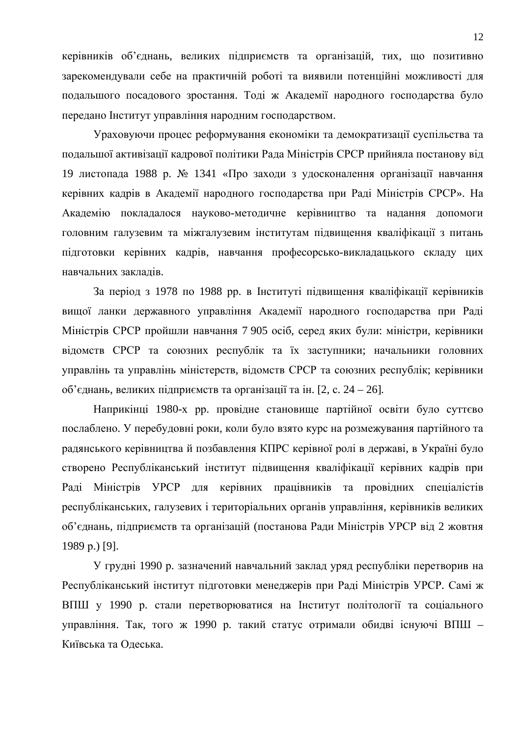керівників об'єднань, великих підприємств та організацій, тих, що позитивно зарекомендували себе на практичній роботі та виявили потенційні можливості для подальшого посадового зростання. Тоді ж Академії народного господарства було передано Інститут управління народним господарством.

Ураховуючи процес реформування економіки та демократизації суспільства та подальшої активізації кадрової політики Рада Міністрів СРСР прийняла постанову від 19 листопада 1988 р. № 1341 «Про заходи з удосконалення організації навчання керівних кадрів в Академії народного господарства при Раді Міністрів СРСР». На Академію покладалося науково-методичне керівництво та надання допомоги головним галузевим та міжгалузевим інститутам підвищення кваліфікації з питань підготовки керівних кадрів, навчання професорсько-викладацького складу цих навчальних заклалів.

За період з 1978 по 1988 рр. в Інституті підвищення кваліфікації керівників вищої ланки державного управління Академії народного господарства при Раді Міністрів СРСР пройшли навчання 7 905 осіб, серед яких були: міністри, керівники відомств СРСР та союзних республік та їх заступники; начальники головних управлінь та управлінь міністерств, відомств СРСР та союзних республік; керівники  $66$ 'єднань, великих підприємств та організації та ін. [2, с. 24 – 26].

Наприкінці 1980-х рр. провідне становище партійної освіти було суттєво послаблено. У перебудовні роки, коли було взято курс на розмежування партійного та радянського керівництва й позбавлення КПРС керівної ролі в державі, в Україні було створено Республіканський інститут підвищення кваліфікації керівних кадрів при Раді Міністрів УРСР для керівних працівників та провідних спеціалістів республіканських, галузевих і територіальних органів управління, керівників великих об'єднань, підприємств та організацій (постанова Ради Міністрів УРСР від 2 жовтня 1989 p.) [9].

У грудні 1990 р. зазначений навчальний заклад уряд республіки перетворив на Республіканський інститут підготовки менеджерів при Раді Міністрів УРСР. Самі ж ВПШ у 1990 р. стали перетворюватися на Інститут політології та соціального управління. Так, того ж 1990 р. такий статус отримали обидві існуючі ВПШ -Київська та Одеська.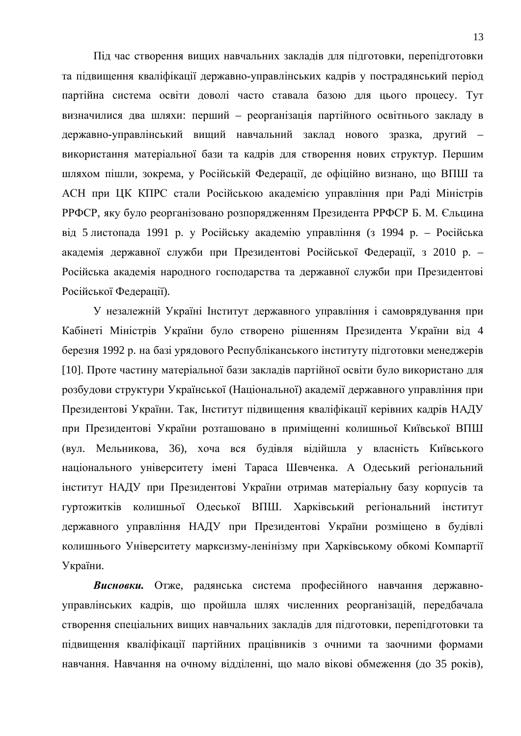Під час створення вищих навчальних закладів для підготовки, перепідготовки та підвищення кваліфікації державно-управлінських кадрів у пострадянський період партійна система освіти доволі часто ставала базою для цього процесу. Тут визначилися два шляхи: перший – реорганізація партійного освітнього закладу в державно-управлінський вищий навчальний заклад нового зразка, другий – використання матеріальної бази та кадрів для створення нових структур. Першим шляхом пішли, зокрема, у Російській Федерації, де офіційно визнано, що ВПШ та АСН при ЦК КПРС стали Російською академією управління при Раді Міністрів РРФСР, яку було реорганізовано розпорядженням Президента РРФСР Б. М. Єльцина від 5 листопада 1991 р. у Російську академію управління (з 1994 р. – Російська академія державної служби при Президентові Російської Федерації, з 2010 р. – Російська академія народного господарства та державної служби при Президентові Російської Федерації).

У незалежній Україні Інститут державного управління і самоврядування при Кабінеті Міністрів України було створено рішенням Президента України від 4 березня 1992 р. на базі урядового Республіканського інституту підготовки менеджерів [10]. Проте частину матеріальної бази закладів партійної освіти було використано для розбудови структури Української (Національної) академії державного управління при Президентові України. Так, Інститут підвищення кваліфікації керівних кадрів НАДУ при Президентові України розташовано в приміщенні колишньої Київської ВПШ (вул. Мельникова, 36), хоча вся будівля відійшла у власність Київського національного університету імені Тараса Шевченка. А Одеський регіональний інститут НАДУ при Президентові України отримав матеріальну базу корпусів та гуртожитків колишньої Одеської ВПШ. Харківський регіональний інститут державного управління НАДУ при Президентові України розміщено в будівлі колишнього Університету марксизму-ленінізму при Харківському обкомі Компартії України.

Висновки. Отже, радянська система професійного навчання державноуправлінських кадрів, що пройшла шлях численних реорганізацій, передбачала створення спеціальних вищих навчальних закладів для підготовки, перепідготовки та підвищення кваліфікації партійних працівників з очними та заочними формами навчання. Навчання на очному відділенні, що мало вікові обмеження (до 35 років),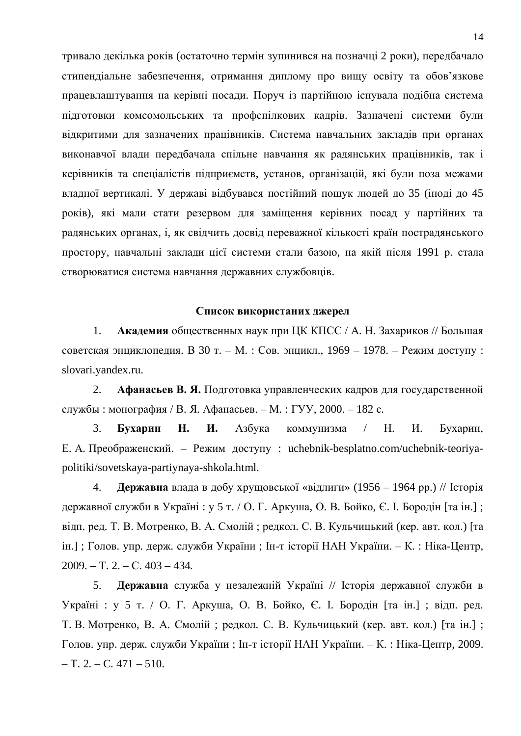тривало декілька років (остаточно термін зупинився на позначці 2 роки), передбачало стипендіальне забезпечення, отримання диплому про вищу освіту та обов'язкове працевлаштування на керівні посади. Поруч із партійною існувала подібна система підготовки комсомольських та профспілкових кадрів. Зазначені системи були відкритими для зазначених працівників. Система навчальних закладів при органах виконавчої влади передбачала спільне навчання як радянських працівників, так і керівників та спеціалістів підприємств, установ, організацій, які були поза межами владної вертикалі. У державі відбувався постійний пошук людей до 35 (іноді до 45 років), які мали стати резервом для заміщення керівних посад у партійних та радянських органах, і, як свідчить досвід переважної кількості країн пострадянського простору, навчальні заклади цієї системи стали базою, на якій після 1991 р. стала створюватися система навчання державних службовців.

## Список використаних джерел

1. **Академия** общественных наук при ЦК КПСС / А. Н. Захариков // Большая советская энциклопедия. В 30 т. – М. : Сов. энцикл., 1969 – 1978. – Режим доступу : slovari.yandex.ru.

2. Афанасьев В. Я. Подготовка управленческих кадров для государственной службы: монография / В. Я. Афанасьев. – М.: ГУУ, 2000. – 182 с.

3. **Бухарин Н. И.** Азбука коммунизма / Н. И. Бухарин, Е. А. Преображенский. – Режим доступу: uchebnik-besplatno.com/uchebnik-teoriyapolitiki/sovetskaya-partiynaya-shkola.html.

4. **Державна** влада в добу хрущовської «відлиги» (1956 – 1964 рр.) // Історія державної служби в Україні: у 5 т. / О. Г. Аркуша, О. В. Бойко, Є. І. Бородін [та ін.]; відп. ред. Т. В. Мотренко, В. А. Смолій; редкол. С. В. Кульчицький (кер. авт. кол.) [та ін.]; Голов. упр. держ. служби України; Ін-т історії НАН України. – К.: Ніка-Центр,  $2009. - T. 2. - C. 403 - 434.$ 

5. **Державна** служба у незалежній Україні // Історія державної служби в Україні : у 5 т. / О. Г. Аркуша, О. В. Бойко, Є. І. Бородін [та ін.]; відп. ред. Т. В. Мотренко, В. А. Смолій; редкол. С. В. Кульчицький (кер. авт. кол.) [та ін.]; Голов. упр. держ. служби України; Ін-т історії НАН України. – К.: Ніка-Центр, 2009.  $-$  T. 2.  $-$  C. 471  $-$  510.